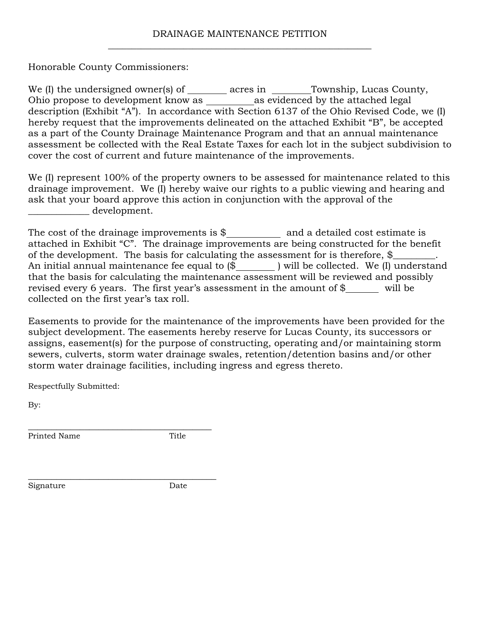## DRAINAGE MAINTENANCE PETITION \_\_\_\_\_\_\_\_\_\_\_\_\_\_\_\_\_\_\_\_\_\_\_\_\_\_\_\_\_\_\_\_\_\_\_\_\_\_\_\_\_\_\_\_\_\_\_\_\_\_\_\_\_\_\_\_

Honorable County Commissioners:

We  $(I)$  the undersigned owner(s) of \_\_\_\_\_\_\_ acres in \_\_\_\_\_\_Township, Lucas County, Ohio propose to development know as \_\_\_\_\_\_\_\_\_\_\_ as evidenced by the attached legal description (Exhibit "A"). In accordance with Section 6137 of the Ohio Revised Code, we (I) hereby request that the improvements delineated on the attached Exhibit "B", be accepted as a part of the County Drainage Maintenance Program and that an annual maintenance assessment be collected with the Real Estate Taxes for each lot in the subject subdivision to cover the cost of current and future maintenance of the improvements.

We (I) represent 100% of the property owners to be assessed for maintenance related to this drainage improvement. We (I) hereby waive our rights to a public viewing and hearing and ask that your board approve this action in conjunction with the approval of the \_\_\_\_\_\_\_\_\_\_\_\_\_ development.

The cost of the drainage improvements is  $\$\$  and a detailed cost estimate is attached in Exhibit "C". The drainage improvements are being constructed for the benefit of the development. The basis for calculating the assessment for is therefore, \$ An initial annual maintenance fee equal to  $(\$\)$  will be collected. We (I) understand that the basis for calculating the maintenance assessment will be reviewed and possibly revised every 6 years. The first year's assessment in the amount of \$ will be collected on the first year's tax roll.

Easements to provide for the maintenance of the improvements have been provided for the subject development. The easements hereby reserve for Lucas County, its successors or assigns, easement(s) for the purpose of constructing, operating and/or maintaining storm sewers, culverts, storm water drainage swales, retention/detention basins and/or other storm water drainage facilities, including ingress and egress thereto.

Respectfully Submitted:

\_\_\_\_\_\_\_\_\_\_\_\_\_\_\_\_\_\_\_\_\_\_\_\_\_\_\_\_\_\_\_\_\_\_\_\_\_\_\_

\_\_\_\_\_\_\_\_\_\_\_\_\_\_\_\_\_\_\_\_\_\_\_\_\_\_\_\_\_\_\_\_\_\_\_\_\_\_\_\_

By:

Printed Name Title

Signature Date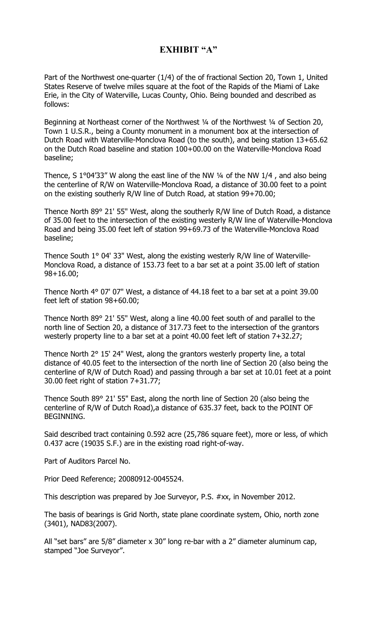## **EXHIBIT "A"**

Part of the Northwest one-quarter (1/4) of the of fractional Section 20, Town 1, United States Reserve of twelve miles square at the foot of the Rapids of the Miami of Lake Erie, in the City of Waterville, Lucas County, Ohio. Being bounded and described as follows:

Beginning at Northeast corner of the Northwest 1/4 of the Northwest 1/4 of Section 20, Town 1 U.S.R., being a County monument in a monument box at the intersection of Dutch Road with Waterville-Monclova Road (to the south), and being station 13+65.62 on the Dutch Road baseline and station 100+00.00 on the Waterville-Monclova Road baseline;

Thence, S 1°04'33" W along the east line of the NW ¼ of the NW 1/4 , and also being the centerline of R/W on Waterville-Monclova Road, a distance of 30.00 feet to a point on the existing southerly R/W line of Dutch Road, at station 99+70.00;

Thence North 89° 21' 55" West, along the southerly R/W line of Dutch Road, a distance of 35.00 feet to the intersection of the existing westerly R/W line of Waterville-Monclova Road and being 35.00 feet left of station 99+69.73 of the Waterville-Monclova Road baseline;

Thence South 1° 04' 33" West, along the existing westerly R/W line of Waterville-Monclova Road, a distance of 153.73 feet to a bar set at a point 35.00 left of station 98+16.00;

Thence North 4° 07' 07" West, a distance of 44.18 feet to a bar set at a point 39.00 feet left of station 98+60.00;

Thence North 89° 21' 55" West, along a line 40.00 feet south of and parallel to the north line of Section 20, a distance of 317.73 feet to the intersection of the grantors westerly property line to a bar set at a point 40.00 feet left of station 7+32.27;

Thence North 2° 15' 24" West, along the grantors westerly property line, a total distance of 40.05 feet to the intersection of the north line of Section 20 (also being the centerline of R/W of Dutch Road) and passing through a bar set at 10.01 feet at a point 30.00 feet right of station 7+31.77;

Thence South 89° 21' 55" East, along the north line of Section 20 (also being the centerline of R/W of Dutch Road),a distance of 635.37 feet, back to the POINT OF BEGINNING.

Said described tract containing 0.592 acre (25,786 square feet), more or less, of which 0.437 acre (19035 S.F.) are in the existing road right-of-way.

Part of Auditors Parcel No.

Prior Deed Reference; 20080912-0045524.

This description was prepared by Joe Surveyor, P.S. #xx, in November 2012.

The basis of bearings is Grid North, state plane coordinate system, Ohio, north zone (3401), NAD83(2007).

All "set bars" are 5/8" diameter x 30" long re-bar with a 2" diameter aluminum cap, stamped "Joe Surveyor".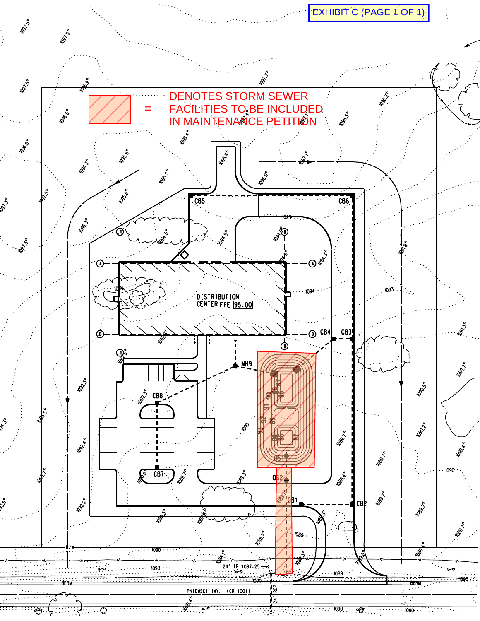